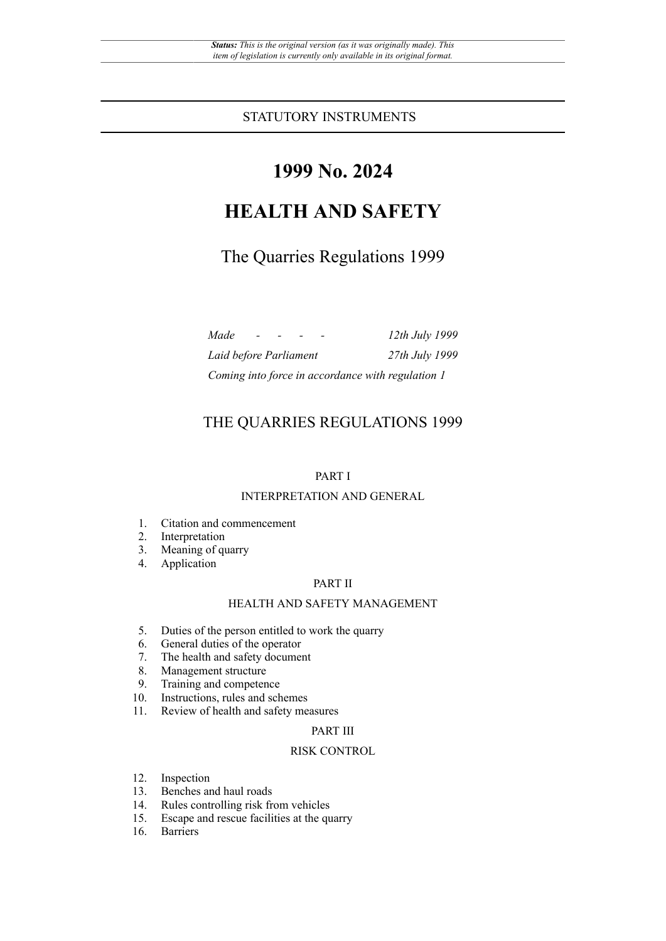# **1999 No. 2024**

# **HEALTH AND SAFETY**

# The Quarries Regulations 1999

| Made                   |  |  | 12th July 1999                                    |
|------------------------|--|--|---------------------------------------------------|
| Laid before Parliament |  |  | 27th July 1999                                    |
|                        |  |  | Coming into force in accordance with regulation 1 |

## THE QUARRIES REGULATIONS 1999

### PART I

#### INTERPRETATION AND GENERAL

- 1. Citation and commencement
- 2. Interpretation
- 3. Meaning of quarry
- 4. Application

#### PART II

#### HEALTH AND SAFETY MANAGEMENT

- 5. Duties of the person entitled to work the quarry
- 6. General duties of the operator<br>7. The health and safety document
- The health and safety document
- 8. Management structure
- 9. Training and competence
- 10. Instructions, rules and schemes
- 11. Review of health and safety measures

#### PART III

#### RISK CONTROL

- 12. Inspection<br>13. Benches an
- 13. Benches and haul roads<br>14. Rules controlling risk fr
- 14. Rules controlling risk from vehicles<br>15. Escape and rescue facilities at the qu
- 15. Escape and rescue facilities at the quarry
- 16. Barriers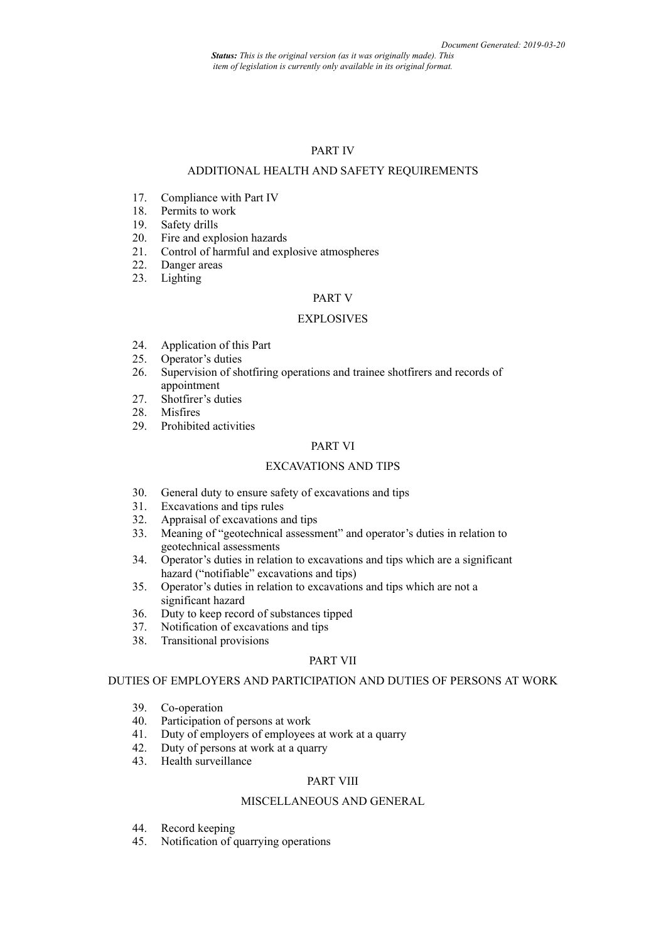*Status: This is the original version (as it was originally made). This item of legislation is currently only available in its original format.*

#### PART IV

#### ADDITIONAL HEALTH AND SAFETY REQUIREMENTS

- 17. Compliance with Part IV
- 18. Permits to work
- 19. Safety drills
- 20. Fire and explosion hazards
- 21. Control of harmful and explosive atmospheres
- 22. Danger areas
- 23. Lighting

#### PART V

#### **EXPLOSIVES**

- 24. Application of this Part<br>25. Operator's duties
- Operator's duties
- 26. Supervision of shotfiring operations and trainee shotfirers and records of appointment
- 27. Shotfirer's duties
- 28. Misfires
- 29. Prohibited activities

#### PART VI

#### EXCAVATIONS AND TIPS

- 30. General duty to ensure safety of excavations and tips 31. Excavations and tips rules
- 31. Excavations and tips rules<br>32. Appraisal of excavations a
- 32. Appraisal of excavations and tips<br>33. Meaning of "geotechnical assessn
- Meaning of "geotechnical assessment" and operator's duties in relation to geotechnical assessments
- 34. Operator's duties in relation to excavations and tips which are a significant hazard ("notifiable" excavations and tips)
- 35. Operator's duties in relation to excavations and tips which are not a significant hazard
- 36. Duty to keep record of substances tipped<br>37. Notification of excavations and tips
- Notification of excavations and tips
- 38. Transitional provisions

#### PART VII

#### DUTIES OF EMPLOYERS AND PARTICIPATION AND DUTIES OF PERSONS AT WORK

- 39. Co-operation<br>40. Participation
- Participation of persons at work
- 41. Duty of employers of employees at work at a quarry
- 42. Duty of persons at work at a quarry
- 43. Health surveillance

#### PART VIII

#### MISCELLANEOUS AND GENERAL

- 44. Record keeping
- 45. Notification of quarrying operations